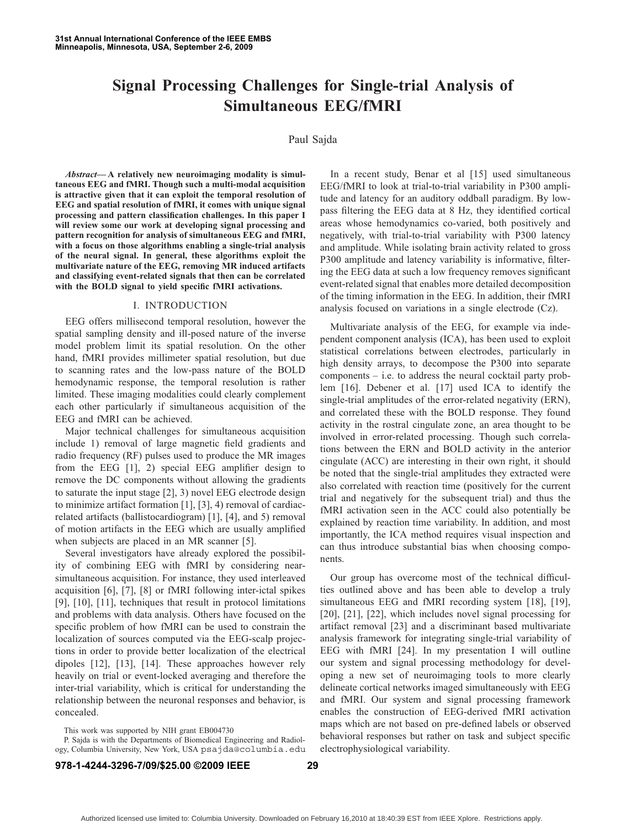## **Signal Processing Challenges for Single-trial Analysis of Simultaneous EEG/fMRI**

## Paul Sajda

*Abstract***— A relatively new neuroimaging modality is simultaneous EEG and fMRI. Though such a multi-modal acquisition is attractive given that it can exploit the temporal resolution of EEG and spatial resolution of fMRI, it comes with unique signal processing and pattern classification challenges. In this paper I will review some our work at developing signal processing and pattern recognition for analysis of simultaneous EEG and fMRI, with a focus on those algorithms enabling a single-trial analysis of the neural signal. In general, these algorithms exploit the multivariate nature of the EEG, removing MR induced artifacts and classifying event-related signals that then can be correlated with the BOLD signal to yield specific fMRI activations.**

## I. INTRODUCTION

EEG offers millisecond temporal resolution, however the spatial sampling density and ill-posed nature of the inverse model problem limit its spatial resolution. On the other hand, fMRI provides millimeter spatial resolution, but due to scanning rates and the low-pass nature of the BOLD hemodynamic response, the temporal resolution is rather limited. These imaging modalities could clearly complement each other particularly if simultaneous acquisition of the EEG and fMRI can be achieved.

Major technical challenges for simultaneous acquisition include 1) removal of large magnetic field gradients and radio frequency (RF) pulses used to produce the MR images from the EEG [1], 2) special EEG amplifier design to remove the DC components without allowing the gradients to saturate the input stage [2], 3) novel EEG electrode design to minimize artifact formation [1], [3], 4) removal of cardiacrelated artifacts (ballistocardiogram) [1], [4], and 5) removal of motion artifacts in the EEG which are usually amplified when subjects are placed in an MR scanner [5].

Several investigators have already explored the possibility of combining EEG with fMRI by considering nearsimultaneous acquisition. For instance, they used interleaved acquisition [6], [7], [8] or fMRI following inter-ictal spikes [9], [10], [11], techniques that result in protocol limitations and problems with data analysis. Others have focused on the specific problem of how fMRI can be used to constrain the localization of sources computed via the EEG-scalp projections in order to provide better localization of the electrical dipoles [12], [13], [14]. These approaches however rely heavily on trial or event-locked averaging and therefore the inter-trial variability, which is critical for understanding the relationship between the neuronal responses and behavior, is concealed.

P. Sajda is with the Departments of Biomedical Engineering and Radiology, Columbia University, New York, USA psajda@columbia.edu

In a recent study, Benar et al [15] used simultaneous EEG/fMRI to look at trial-to-trial variability in P300 amplitude and latency for an auditory oddball paradigm. By lowpass filtering the EEG data at 8 Hz, they identified cortical areas whose hemodynamics co-varied, both positively and negatively, with trial-to-trial variability with P300 latency and amplitude. While isolating brain activity related to gross P300 amplitude and latency variability is informative, filtering the EEG data at such a low frequency removes significant event-related signal that enables more detailed decomposition of the timing information in the EEG. In addition, their fMRI analysis focused on variations in a single electrode (Cz).

Multivariate analysis of the EEG, for example via independent component analysis (ICA), has been used to exploit statistical correlations between electrodes, particularly in high density arrays, to decompose the P300 into separate components – i.e. to address the neural cocktail party problem [16]. Debener et al. [17] used ICA to identify the single-trial amplitudes of the error-related negativity (ERN), and correlated these with the BOLD response. They found activity in the rostral cingulate zone, an area thought to be involved in error-related processing. Though such correlations between the ERN and BOLD activity in the anterior cingulate (ACC) are interesting in their own right, it should be noted that the single-trial amplitudes they extracted were also correlated with reaction time (positively for the current trial and negatively for the subsequent trial) and thus the fMRI activation seen in the ACC could also potentially be explained by reaction time variability. In addition, and most importantly, the ICA method requires visual inspection and can thus introduce substantial bias when choosing components.

Our group has overcome most of the technical difficulties outlined above and has been able to develop a truly simultaneous EEG and fMRI recording system [18], [19], [20], [21], [22], which includes novel signal processing for artifact removal [23] and a discriminant based multivariate analysis framework for integrating single-trial variability of EEG with fMRI [24]. In my presentation I will outline our system and signal processing methodology for developing a new set of neuroimaging tools to more clearly delineate cortical networks imaged simultaneously with EEG and fMRI. Our system and signal processing framework enables the construction of EEG-derived fMRI activation maps which are not based on pre-defined labels or observed behavioral responses but rather on task and subject specific electrophysiological variability.

This work was supported by NIH grant EB004730